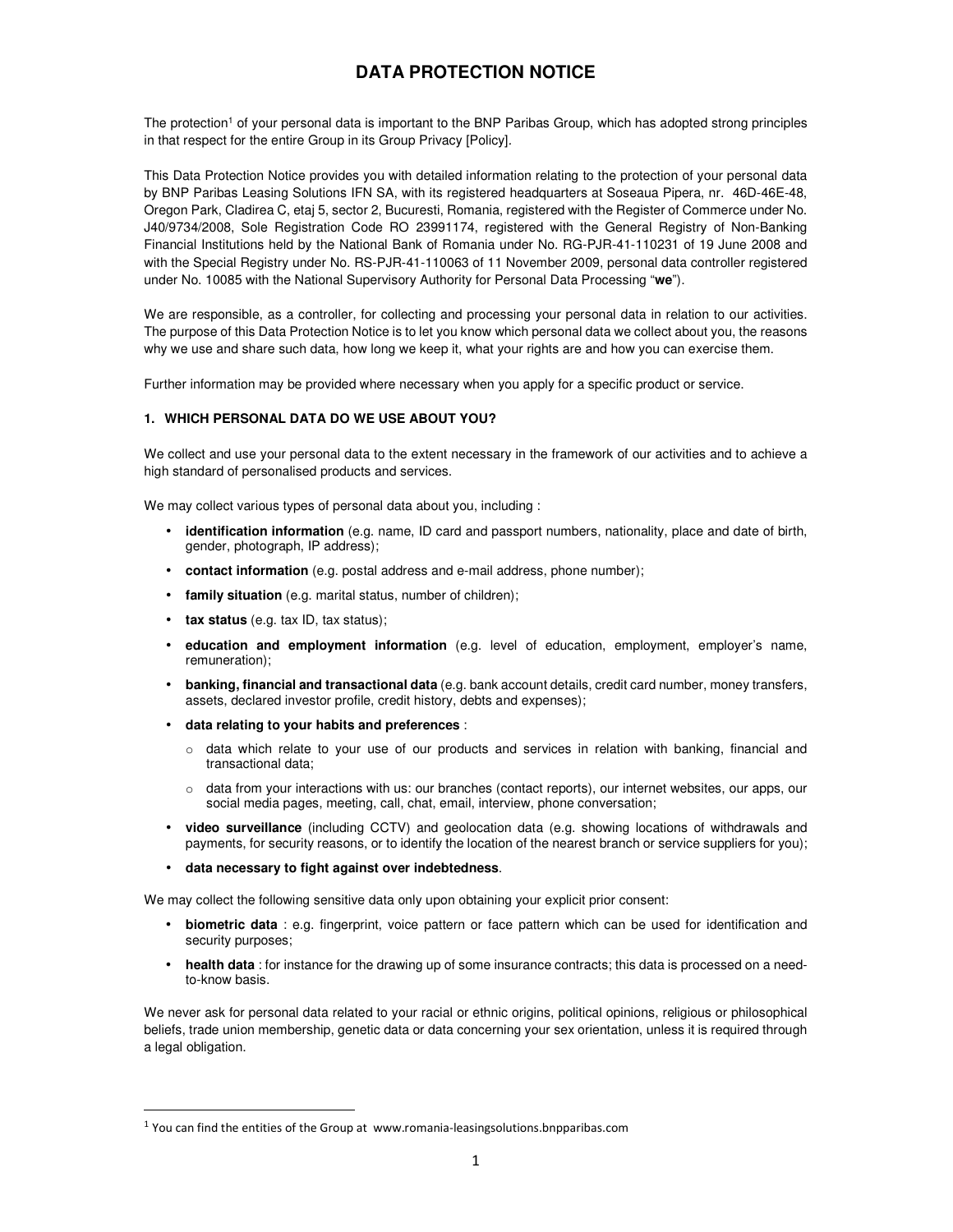# **DATA PROTECTION NOTICE**

The protection<sup>1</sup> of your personal data is important to the BNP Paribas Group, which has adopted strong principles in that respect for the entire Group in its Group Privacy [Policy].

This Data Protection Notice provides you with detailed information relating to the protection of your personal data by BNP Paribas Leasing Solutions IFN SA, with its registered headquarters at Soseaua Pipera, nr. 46D-46E-48, Oregon Park, Cladirea C, etaj 5, sector 2, Bucuresti, Romania, registered with the Register of Commerce under No. J40/9734/2008, Sole Registration Code RO 23991174, registered with the General Registry of Non-Banking Financial Institutions held by the National Bank of Romania under No. RG-PJR-41-110231 of 19 June 2008 and with the Special Registry under No. RS-PJR-41-110063 of 11 November 2009, personal data controller registered under No. 10085 with the National Supervisory Authority for Personal Data Processing "**we**").

We are responsible, as a controller, for collecting and processing your personal data in relation to our activities. The purpose of this Data Protection Notice is to let you know which personal data we collect about you, the reasons why we use and share such data, how long we keep it, what your rights are and how you can exercise them.

Further information may be provided where necessary when you apply for a specific product or service.

### **1. WHICH PERSONAL DATA DO WE USE ABOUT YOU?**

We collect and use your personal data to the extent necessary in the framework of our activities and to achieve a high standard of personalised products and services.

We may collect various types of personal data about you, including :

- **identification information** (e.g. name, ID card and passport numbers, nationality, place and date of birth, gender, photograph, IP address);
- **contact information** (e.g. postal address and e-mail address, phone number);
- **family situation** (e.g. marital status, number of children);
- **tax status** (e.g. tax ID, tax status);

l

- **education and employment information** (e.g. level of education, employment, employer's name, remuneration);
- **banking, financial and transactional data** (e.g. bank account details, credit card number, money transfers, assets, declared investor profile, credit history, debts and expenses);
- **data relating to your habits and preferences** :
	- $\circ$  data which relate to your use of our products and services in relation with banking, financial and transactional data;
	- o data from your interactions with us: our branches (contact reports), our internet websites, our apps, our social media pages, meeting, call, chat, email, interview, phone conversation;
- **video surveillance** (including CCTV) and geolocation data (e.g. showing locations of withdrawals and payments, for security reasons, or to identify the location of the nearest branch or service suppliers for you);
- **data necessary to fight against over indebtedness**.

We may collect the following sensitive data only upon obtaining your explicit prior consent:

- **biometric data** : e.g. fingerprint, voice pattern or face pattern which can be used for identification and security purposes;
- **health data** : for instance for the drawing up of some insurance contracts; this data is processed on a needto-know basis.

We never ask for personal data related to your racial or ethnic origins, political opinions, religious or philosophical beliefs, trade union membership, genetic data or data concerning your sex orientation, unless it is required through a legal obligation.

 $<sup>1</sup>$  You can find the entities of the Group at www.romania-leasingsolutions.bnpparibas.com</sup>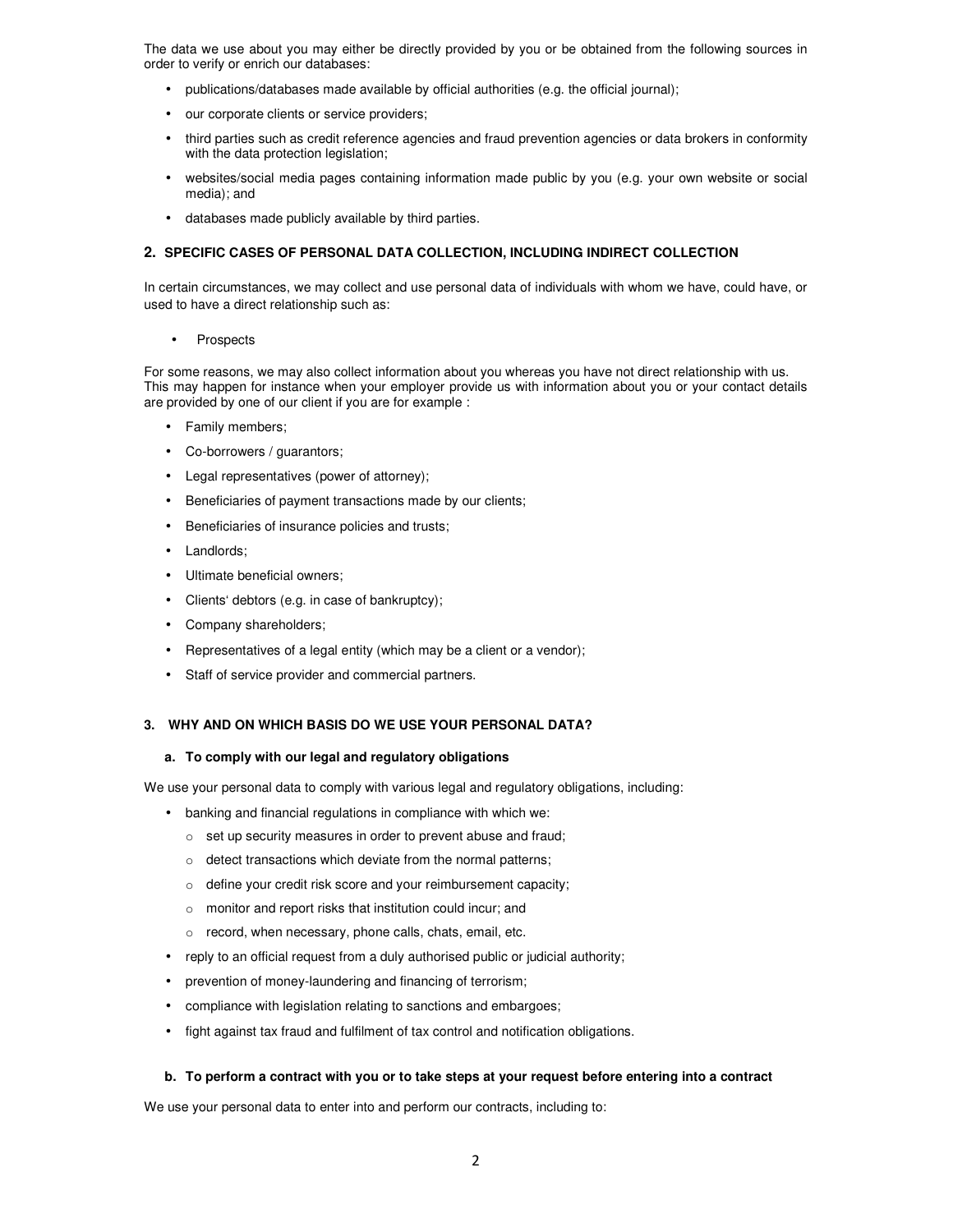The data we use about you may either be directly provided by you or be obtained from the following sources in order to verify or enrich our databases:

- publications/databases made available by official authorities (e.g. the official journal);
- our corporate clients or service providers;
- third parties such as credit reference agencies and fraud prevention agencies or data brokers in conformity with the data protection legislation;
- websites/social media pages containing information made public by you (e.g. your own website or social media); and
- databases made publicly available by third parties.

#### **2. SPECIFIC CASES OF PERSONAL DATA COLLECTION, INCLUDING INDIRECT COLLECTION**

In certain circumstances, we may collect and use personal data of individuals with whom we have, could have, or used to have a direct relationship such as:

• Prospects

For some reasons, we may also collect information about you whereas you have not direct relationship with us. This may happen for instance when your employer provide us with information about you or your contact details are provided by one of our client if you are for example :

- Family members;
- Co-borrowers / guarantors;
- Legal representatives (power of attorney);
- Beneficiaries of payment transactions made by our clients;
- Beneficiaries of insurance policies and trusts;
- Landlords;
- Ultimate beneficial owners;
- Clients' debtors (e.g. in case of bankruptcy);
- Company shareholders;
- Representatives of a legal entity (which may be a client or a vendor);
- Staff of service provider and commercial partners.

#### **3. WHY AND ON WHICH BASIS DO WE USE YOUR PERSONAL DATA?**

#### **a. To comply with our legal and regulatory obligations**

We use your personal data to comply with various legal and regulatory obligations, including:

- banking and financial regulations in compliance with which we:
	- o set up security measures in order to prevent abuse and fraud;
	- o detect transactions which deviate from the normal patterns;
	- o define your credit risk score and your reimbursement capacity;
	- o monitor and report risks that institution could incur; and
	- o record, when necessary, phone calls, chats, email, etc.
- reply to an official request from a duly authorised public or judicial authority;
- prevention of money-laundering and financing of terrorism;
- compliance with legislation relating to sanctions and embargoes;
- fight against tax fraud and fulfilment of tax control and notification obligations.

#### **b. To perform a contract with you or to take steps at your request before entering into a contract**

We use your personal data to enter into and perform our contracts, including to: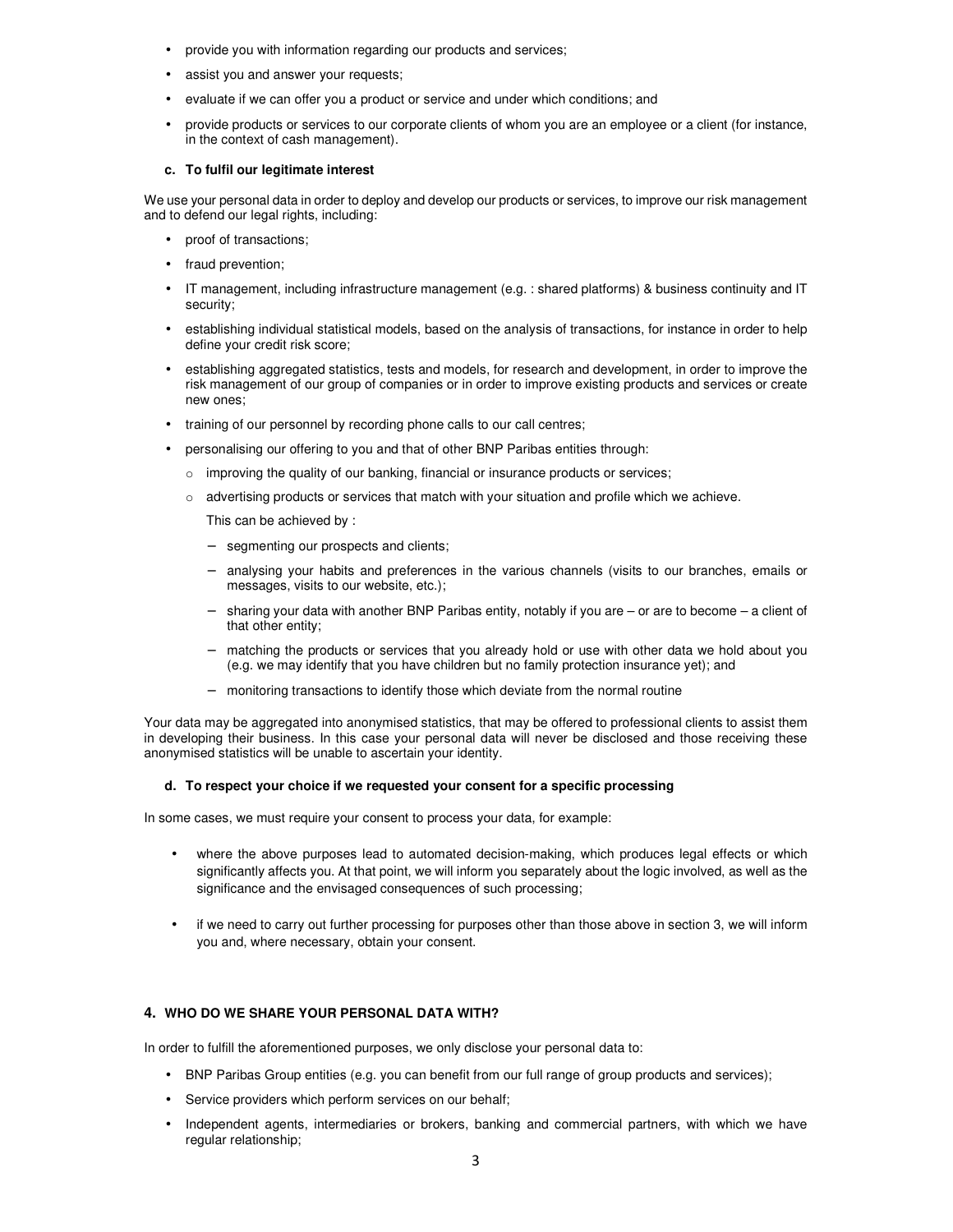- provide you with information regarding our products and services;
- assist you and answer your requests;
- evaluate if we can offer you a product or service and under which conditions; and
- provide products or services to our corporate clients of whom you are an employee or a client (for instance, in the context of cash management).

## **c. To fulfil our legitimate interest**

We use your personal data in order to deploy and develop our products or services, to improve our risk management and to defend our legal rights, including:

- proof of transactions;
- fraud prevention;
- IT management, including infrastructure management (e.g. : shared platforms) & business continuity and IT security;
- establishing individual statistical models, based on the analysis of transactions, for instance in order to help define your credit risk score;
- establishing aggregated statistics, tests and models, for research and development, in order to improve the risk management of our group of companies or in order to improve existing products and services or create new ones;
- training of our personnel by recording phone calls to our call centres;
- personalising our offering to you and that of other BNP Paribas entities through:
	- o improving the quality of our banking, financial or insurance products or services;
	- o advertising products or services that match with your situation and profile which we achieve.

This can be achieved by :

- − segmenting our prospects and clients;
- analysing your habits and preferences in the various channels (visits to our branches, emails or messages, visits to our website, etc.);
- − sharing your data with another BNP Paribas entity, notably if you are or are to become a client of that other entity;
- matching the products or services that you already hold or use with other data we hold about you (e.g. we may identify that you have children but no family protection insurance yet); and
- − monitoring transactions to identify those which deviate from the normal routine

Your data may be aggregated into anonymised statistics, that may be offered to professional clients to assist them in developing their business. In this case your personal data will never be disclosed and those receiving these anonymised statistics will be unable to ascertain your identity.

## **d. To respect your choice if we requested your consent for a specific processing**

In some cases, we must require your consent to process your data, for example:

- where the above purposes lead to automated decision-making, which produces legal effects or which significantly affects you. At that point, we will inform you separately about the logic involved, as well as the significance and the envisaged consequences of such processing;
- if we need to carry out further processing for purposes other than those above in section 3, we will inform you and, where necessary, obtain your consent.

# **4. WHO DO WE SHARE YOUR PERSONAL DATA WITH?**

In order to fulfill the aforementioned purposes, we only disclose your personal data to:

- BNP Paribas Group entities (e.g. you can benefit from our full range of group products and services);
- Service providers which perform services on our behalf;
- Independent agents, intermediaries or brokers, banking and commercial partners, with which we have regular relationship;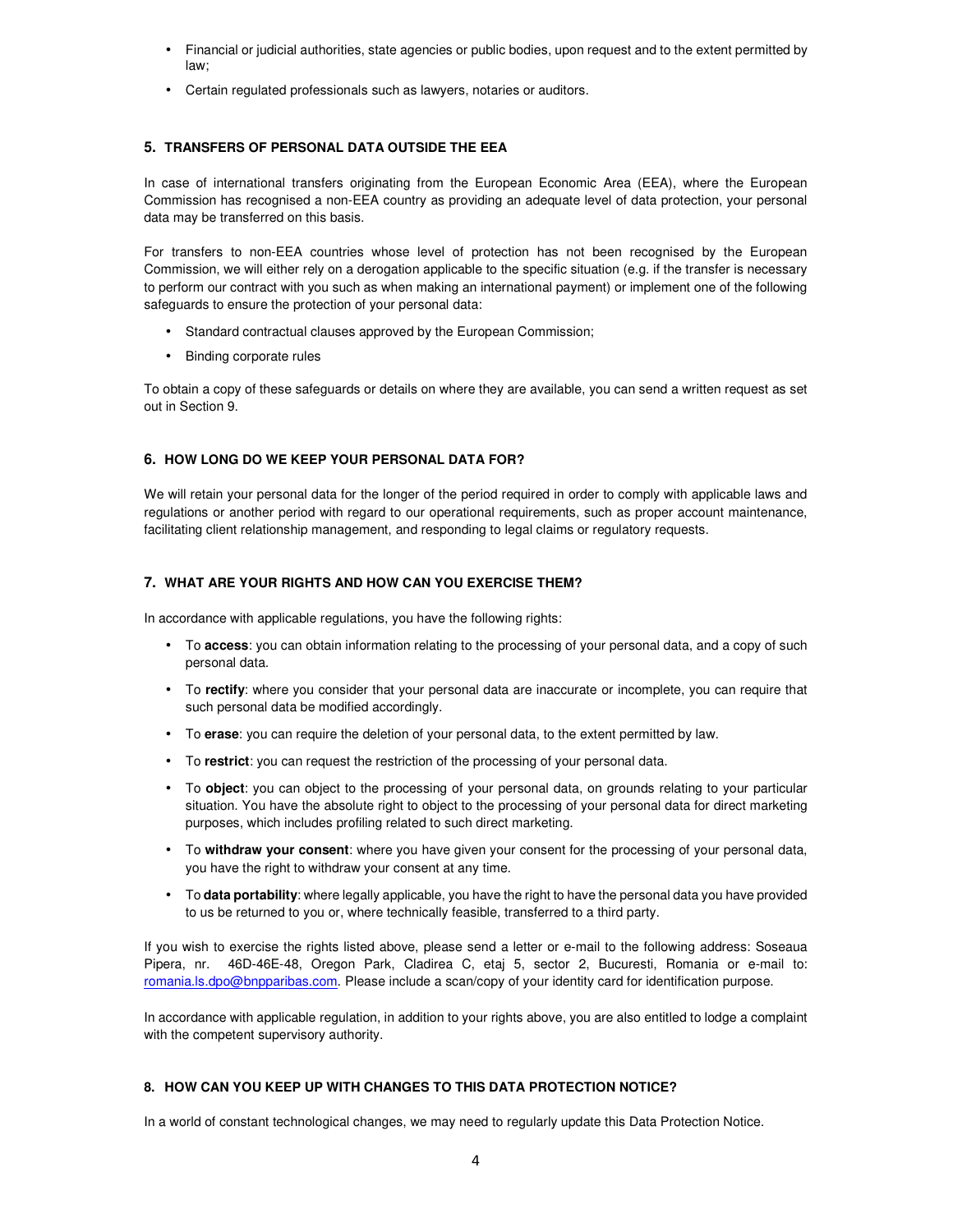- Financial or judicial authorities, state agencies or public bodies, upon request and to the extent permitted by law;
- Certain regulated professionals such as lawyers, notaries or auditors.

# **5. TRANSFERS OF PERSONAL DATA OUTSIDE THE EEA**

In case of international transfers originating from the European Economic Area (EEA), where the European Commission has recognised a non-EEA country as providing an adequate level of data protection, your personal data may be transferred on this basis.

For transfers to non-EEA countries whose level of protection has not been recognised by the European Commission, we will either rely on a derogation applicable to the specific situation (e.g. if the transfer is necessary to perform our contract with you such as when making an international payment) or implement one of the following safeguards to ensure the protection of your personal data:

- Standard contractual clauses approved by the European Commission;
- Binding corporate rules

To obtain a copy of these safeguards or details on where they are available, you can send a written request as set out in Section 9.

# **6. HOW LONG DO WE KEEP YOUR PERSONAL DATA FOR?**

We will retain your personal data for the longer of the period required in order to comply with applicable laws and regulations or another period with regard to our operational requirements, such as proper account maintenance, facilitating client relationship management, and responding to legal claims or regulatory requests.

## **7. WHAT ARE YOUR RIGHTS AND HOW CAN YOU EXERCISE THEM?**

In accordance with applicable regulations, you have the following rights:

- To **access**: you can obtain information relating to the processing of your personal data, and a copy of such personal data.
- To **rectify**: where you consider that your personal data are inaccurate or incomplete, you can require that such personal data be modified accordingly.
- To **erase**: you can require the deletion of your personal data, to the extent permitted by law.
- To **restrict**: you can request the restriction of the processing of your personal data.
- To **object**: you can object to the processing of your personal data, on grounds relating to your particular situation. You have the absolute right to object to the processing of your personal data for direct marketing purposes, which includes profiling related to such direct marketing.
- To **withdraw your consent**: where you have given your consent for the processing of your personal data, you have the right to withdraw your consent at any time.
- To **data portability**: where legally applicable, you have the right to have the personal data you have provided to us be returned to you or, where technically feasible, transferred to a third party.

If you wish to exercise the rights listed above, please send a letter or e-mail to the following address: Soseaua Pipera, nr. 46D-46E-48, Oregon Park, Cladirea C, etaj 5, sector 2, Bucuresti, Romania or e-mail to: romania.ls.dpo@bnpparibas.com. Please include a scan/copy of your identity card for identification purpose.

In accordance with applicable regulation, in addition to your rights above, you are also entitled to lodge a complaint with the competent supervisory authority.

# **8. HOW CAN YOU KEEP UP WITH CHANGES TO THIS DATA PROTECTION NOTICE?**

In a world of constant technological changes, we may need to regularly update this Data Protection Notice.